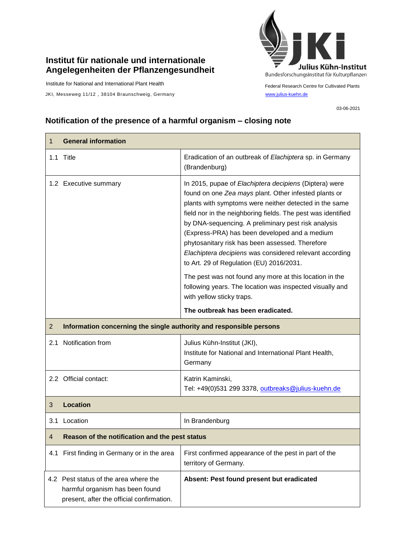## **Institut für nationale und internationale Angelegenheiten der Pflanzengesundheit**

Institute for National and International Plant Health

JKI, Messeweg 11/12, 38104 Braunschweig, Germany [www.julius-kuehn.de](http://www.julius-kuehn.de/)



Federal Research Centre for Cultivated Plants

03-06-2021

## **Notification of the presence of a harmful organism – closing note**

| 1              | <b>General information</b>                                          |                                                                                                                                                                                                                                                                                                                                                                                                                                                                                                             |  |
|----------------|---------------------------------------------------------------------|-------------------------------------------------------------------------------------------------------------------------------------------------------------------------------------------------------------------------------------------------------------------------------------------------------------------------------------------------------------------------------------------------------------------------------------------------------------------------------------------------------------|--|
|                | 1.1 Title                                                           | Eradication of an outbreak of Elachiptera sp. in Germany<br>(Brandenburg)                                                                                                                                                                                                                                                                                                                                                                                                                                   |  |
|                | 1.2 Executive summary                                               | In 2015, pupae of Elachiptera decipiens (Diptera) were<br>found on one Zea mays plant. Other infested plants or<br>plants with symptoms were neither detected in the same<br>field nor in the neighboring fields. The pest was identified<br>by DNA-sequencing. A preliminary pest risk analysis<br>(Express-PRA) has been developed and a medium<br>phytosanitary risk has been assessed. Therefore<br>Elachiptera decipiens was considered relevant according<br>to Art. 29 of Regulation (EU) 2016/2031. |  |
|                |                                                                     | The pest was not found any more at this location in the<br>following years. The location was inspected visually and<br>with yellow sticky traps.                                                                                                                                                                                                                                                                                                                                                            |  |
|                |                                                                     | The outbreak has been eradicated.                                                                                                                                                                                                                                                                                                                                                                                                                                                                           |  |
| $\overline{2}$ | Information concerning the single authority and responsible persons |                                                                                                                                                                                                                                                                                                                                                                                                                                                                                                             |  |
| 2.1            | Notification from                                                   | Julius Kühn-Institut (JKI),<br>Institute for National and International Plant Health,<br>Germany                                                                                                                                                                                                                                                                                                                                                                                                            |  |
|                | 2.2 Official contact:                                               | Katrin Kaminski,                                                                                                                                                                                                                                                                                                                                                                                                                                                                                            |  |
|                |                                                                     | Tel: +49(0)531 299 3378, outbreaks@julius-kuehn.de                                                                                                                                                                                                                                                                                                                                                                                                                                                          |  |
| 3              | <b>Location</b>                                                     |                                                                                                                                                                                                                                                                                                                                                                                                                                                                                                             |  |
|                | 3.1 Location                                                        | In Brandenburg                                                                                                                                                                                                                                                                                                                                                                                                                                                                                              |  |
| $\overline{4}$ | Reason of the notification and the pest status                      |                                                                                                                                                                                                                                                                                                                                                                                                                                                                                                             |  |
| 4.1            | First finding in Germany or in the area                             | First confirmed appearance of the pest in part of the<br>territory of Germany.                                                                                                                                                                                                                                                                                                                                                                                                                              |  |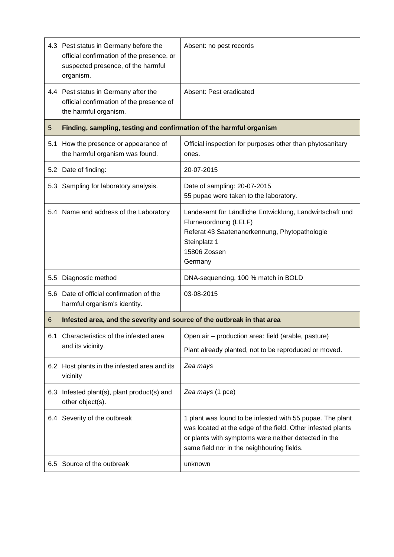|     | 4.3 Pest status in Germany before the<br>official confirmation of the presence, or<br>suspected presence, of the harmful<br>organism. | Absent: no pest records                                                                                                                                                                                                        |  |
|-----|---------------------------------------------------------------------------------------------------------------------------------------|--------------------------------------------------------------------------------------------------------------------------------------------------------------------------------------------------------------------------------|--|
|     | 4.4 Pest status in Germany after the<br>official confirmation of the presence of<br>the harmful organism.                             | Absent: Pest eradicated                                                                                                                                                                                                        |  |
| 5   | Finding, sampling, testing and confirmation of the harmful organism                                                                   |                                                                                                                                                                                                                                |  |
| 5.1 | How the presence or appearance of<br>the harmful organism was found.                                                                  | Official inspection for purposes other than phytosanitary<br>ones.                                                                                                                                                             |  |
|     | 5.2 Date of finding:                                                                                                                  | 20-07-2015                                                                                                                                                                                                                     |  |
|     | 5.3 Sampling for laboratory analysis.                                                                                                 | Date of sampling: 20-07-2015<br>55 pupae were taken to the laboratory.                                                                                                                                                         |  |
|     | 5.4 Name and address of the Laboratory                                                                                                | Landesamt für Ländliche Entwicklung, Landwirtschaft und<br>Flurneuordnung (LELF)<br>Referat 43 Saatenanerkennung, Phytopathologie<br>Steinplatz 1<br>15806 Zossen<br>Germany                                                   |  |
| 5.5 | Diagnostic method                                                                                                                     | DNA-sequencing, 100 % match in BOLD                                                                                                                                                                                            |  |
|     | 5.6 Date of official confirmation of the<br>harmful organism's identity.                                                              | 03-08-2015                                                                                                                                                                                                                     |  |
| 6   | Infested area, and the severity and source of the outbreak in that area                                                               |                                                                                                                                                                                                                                |  |
| 6.1 | Characteristics of the infested area<br>and its vicinity.                                                                             | Open air - production area: field (arable, pasture)<br>Plant already planted, not to be reproduced or moved.                                                                                                                   |  |
|     | 6.2 Host plants in the infested area and its<br>vicinity                                                                              | Zea mays                                                                                                                                                                                                                       |  |
|     | 6.3 Infested plant(s), plant product(s) and<br>other object(s).                                                                       | Zea mays (1 pce)                                                                                                                                                                                                               |  |
|     | 6.4 Severity of the outbreak                                                                                                          | 1 plant was found to be infested with 55 pupae. The plant<br>was located at the edge of the field. Other infested plants<br>or plants with symptoms were neither detected in the<br>same field nor in the neighbouring fields. |  |
|     | 6.5 Source of the outbreak                                                                                                            | unknown                                                                                                                                                                                                                        |  |